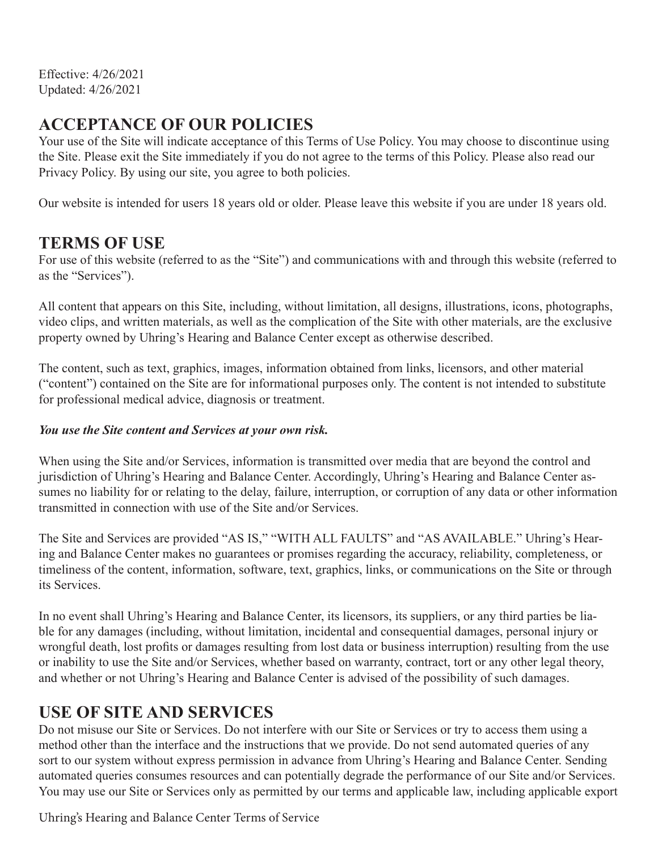Effective: 4/26/2021 Updated: 4/26/2021

## **ACCEPTANCE OF OUR POLICIES**

Your use of the Site will indicate acceptance of this Terms of Use Policy. You may choose to discontinue using the Site. Please exit the Site immediately if you do not agree to the terms of this Policy. Please also read our Privacy Policy. By using our site, you agree to both policies.

Our website is intended for users 18 years old or older. Please leave this website if you are under 18 years old.

#### **TERMS OF USE**

For use of this website (referred to as the "Site") and communications with and through this website (referred to as the "Services").

All content that appears on this Site, including, without limitation, all designs, illustrations, icons, photographs, video clips, and written materials, as well as the complication of the Site with other materials, are the exclusive property owned by Uhring's Hearing and Balance Center except as otherwise described.

The content, such as text, graphics, images, information obtained from links, licensors, and other material ("content") contained on the Site are for informational purposes only. The content is not intended to substitute for professional medical advice, diagnosis or treatment.

#### *You use the Site content and Services at your own risk.*

When using the Site and/or Services, information is transmitted over media that are beyond the control and jurisdiction of Uhring's Hearing and Balance Center. Accordingly, Uhring's Hearing and Balance Center assumes no liability for or relating to the delay, failure, interruption, or corruption of any data or other information transmitted in connection with use of the Site and/or Services.

The Site and Services are provided "AS IS," "WITH ALL FAULTS" and "AS AVAILABLE." Uhring's Hearing and Balance Center makes no guarantees or promises regarding the accuracy, reliability, completeness, or timeliness of the content, information, software, text, graphics, links, or communications on the Site or through its Services.

In no event shall Uhring's Hearing and Balance Center, its licensors, its suppliers, or any third parties be liable for any damages (including, without limitation, incidental and consequential damages, personal injury or wrongful death, lost profits or damages resulting from lost data or business interruption) resulting from the use or inability to use the Site and/or Services, whether based on warranty, contract, tort or any other legal theory, and whether or not Uhring's Hearing and Balance Center is advised of the possibility of such damages.

#### **USE OF SITE AND SERVICES**

Do not misuse our Site or Services. Do not interfere with our Site or Services or try to access them using a method other than the interface and the instructions that we provide. Do not send automated queries of any sort to our system without express permission in advance from Uhring's Hearing and Balance Center. Sending automated queries consumes resources and can potentially degrade the performance of our Site and/or Services. You may use our Site or Services only as permitted by our terms and applicable law, including applicable export

Uhring's Hearing and Balance Center Terms of Service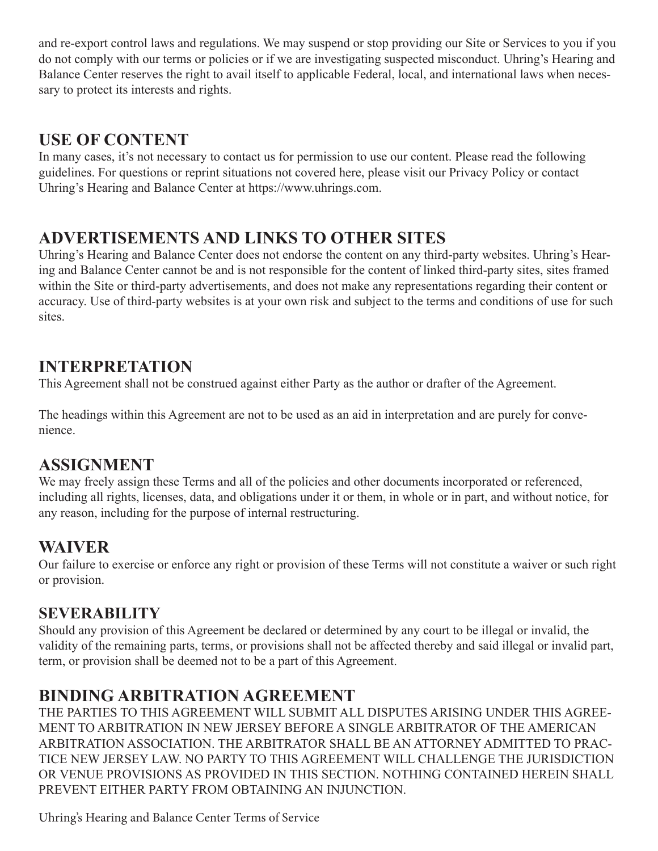and re-export control laws and regulations. We may suspend or stop providing our Site or Services to you if you do not comply with our terms or policies or if we are investigating suspected misconduct. Uhring's Hearing and Balance Center reserves the right to avail itself to applicable Federal, local, and international laws when necessary to protect its interests and rights.

## **USE OF CONTENT**

In many cases, it's not necessary to contact us for permission to use our content. Please read the following guidelines. For questions or reprint situations not covered here, please visit our Privacy Policy or contact Uhring's Hearing and Balance Center at https://www.uhrings.com.

# **ADVERTISEMENTS AND LINKS TO OTHER SITES**

Uhring's Hearing and Balance Center does not endorse the content on any third-party websites. Uhring's Hearing and Balance Center cannot be and is not responsible for the content of linked third-party sites, sites framed within the Site or third-party advertisements, and does not make any representations regarding their content or accuracy. Use of third-party websites is at your own risk and subject to the terms and conditions of use for such sites.

## **INTERPRETATION**

This Agreement shall not be construed against either Party as the author or drafter of the Agreement.

The headings within this Agreement are not to be used as an aid in interpretation and are purely for convenience.

## **ASSIGNMENT**

We may freely assign these Terms and all of the policies and other documents incorporated or referenced, including all rights, licenses, data, and obligations under it or them, in whole or in part, and without notice, for any reason, including for the purpose of internal restructuring.

# **WAIVER**

Our failure to exercise or enforce any right or provision of these Terms will not constitute a waiver or such right or provision.

## **SEVERABILITY**

Should any provision of this Agreement be declared or determined by any court to be illegal or invalid, the validity of the remaining parts, terms, or provisions shall not be affected thereby and said illegal or invalid part, term, or provision shall be deemed not to be a part of this Agreement.

# **BINDING ARBITRATION AGREEMENT**

THE PARTIES TO THIS AGREEMENT WILL SUBMIT ALL DISPUTES ARISING UNDER THIS AGREE-MENT TO ARBITRATION IN NEW JERSEY BEFORE A SINGLE ARBITRATOR OF THE AMERICAN ARBITRATION ASSOCIATION. THE ARBITRATOR SHALL BE AN ATTORNEY ADMITTED TO PRAC-TICE NEW JERSEY LAW. NO PARTY TO THIS AGREEMENT WILL CHALLENGE THE JURISDICTION OR VENUE PROVISIONS AS PROVIDED IN THIS SECTION. NOTHING CONTAINED HEREIN SHALL PREVENT EITHER PARTY FROM OBTAINING AN INJUNCTION.

Uhring's Hearing and Balance Center Terms of Service